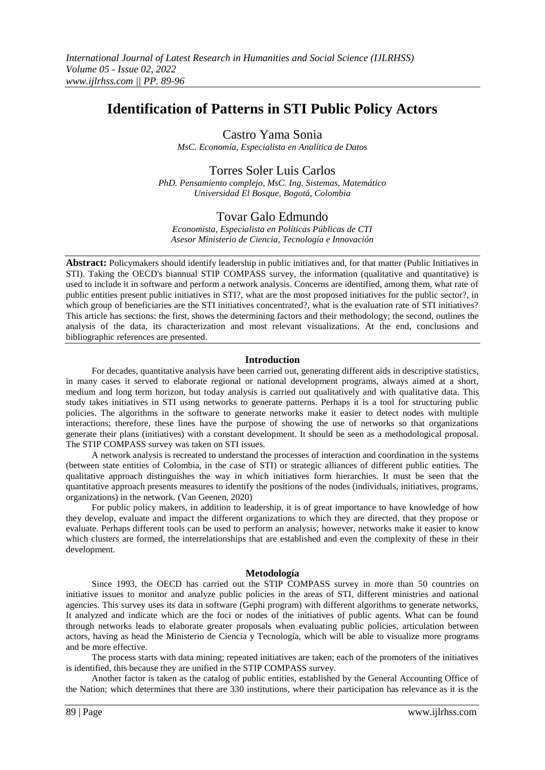# **Identification of Patterns in STI Public Policy Actors**

Castro Yama Sonia

*MsC. Economía, Especialista en Analítica de Datos*

## Torres Soler Luis Carlos

*PhD. Pensamiento complejo, MsC. Ing. Sistemas, Matemático Universidad El Bosque, Bogotá, Colombia*

## Tovar Galo Edmundo

*Economista, Especialista en Políticas Públicas de CTI Asesor Ministerio de Ciencia, Tecnología e Innovación*

**Abstract:** Policymakers should identify leadership in public initiatives and, for that matter (Public Initiatives in STI). Taking the OECD's biannual STIP COMPASS survey, the information (qualitative and quantitative) is used to include it in software and perform a network analysis. Concerns are identified, among them, what rate of public entities present public initiatives in STI?, what are the most proposed initiatives for the public sector?, in which group of beneficiaries are the STI initiatives concentrated?, what is the evaluation rate of STI initiatives? This article has sections: the first, shows the determining factors and their methodology; the second, outlines the analysis of the data, its characterization and most relevant visualizations. At the end, conclusions and bibliographic references are presented.

## **Introduction**

For decades, quantitative analysis have been carried out, generating different aids in descriptive statistics, in many cases it served to elaborate regional or national development programs, always aimed at a short, medium and long term horizon, but today analysis is carried out qualitatively and with qualitative data. This study takes initiatives in STI using networks to generate patterns. Perhaps it is a tool for structuring public policies. The algorithms in the software to generate networks make it easier to detect nodes with multiple interactions; therefore, these lines have the purpose of showing the use of networks so that organizations generate their plans (initiatives) with a constant development. It should be seen as a methodological proposal. The STIP COMPASS survey was taken on STI issues.

A network analysis is recreated to understand the processes of interaction and coordination in the systems (between state entities of Colombia, in the case of STI) or strategic alliances of different public entities. The qualitative approach distinguishes the way in which initiatives form hierarchies. It must be seen that the quantitative approach presents measures to identify the positions of the nodes (individuals, initiatives, programs, organizations) in the network. (Van Geenen, 2020)

For public policy makers, in addition to leadership, it is of great importance to have knowledge of how they develop, evaluate and impact the different organizations to which they are directed, that they propose or evaluate. Perhaps different tools can be used to perform an analysis; however, networks make it easier to know which clusters are formed, the interrelationships that are established and even the complexity of these in their development.

### **Metodología**

Since 1993, the OECD has carried out the STIP COMPASS survey in more than 50 countries on initiative issues to monitor and analyze public policies in the areas of STI, different ministries and national agencies. This survey uses its data in software (Gephi program) with different algorithms to generate networks, It analyzed and indicate which are the foci or nodes of the initiatives of public agents. What can be found through networks leads to elaborate greater proposals when evaluating public policies, articulation between actors, having as head the Ministerio de Ciencia y Tecnología, which will be able to visualize more programs and be more effective.

The process starts with data mining; repeated initiatives are taken; each of the promoters of the initiatives is identified, this because they are unified in the STIP COMPASS survey.

Another factor is taken as the catalog of public entities, established by the General Accounting Office of the Nation; which determines that there are 330 institutions, where their participation has relevance as it is the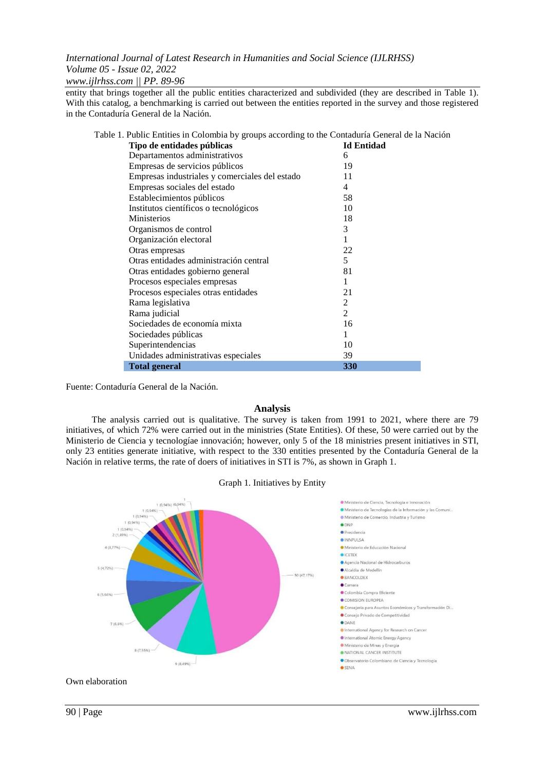*www.ijlrhss.com || PP. 89-96*

entity that brings together all the public entities characterized and subdivided (they are described in Table 1). With this catalog, a benchmarking is carried out between the entities reported in the survey and those registered in the Contaduría General de la Nación.

| Table 1. Public Entities in Colombia by groups according to the Contaduría General de la Nación |                   |
|-------------------------------------------------------------------------------------------------|-------------------|
| Tipo de entidades públicas                                                                      | <b>Id Entidad</b> |
| Departamentos administrativos                                                                   | 6                 |
| Empresas de servicios públicos                                                                  | 19                |
| Empresas industriales y comerciales del estado                                                  | 11                |
| Empresas sociales del estado                                                                    | 4                 |
| Establecimientos públicos                                                                       | 58                |
| Institutos científicos o tecnológicos                                                           | 10                |
| Ministerios                                                                                     | 18                |
| Organismos de control                                                                           | 3                 |
| Organización electoral                                                                          | 1                 |
| Otras empresas                                                                                  | 22                |
| Otras entidades administración central                                                          | 5                 |
| Otras entidades gobierno general                                                                | 81                |
| Procesos especiales empresas                                                                    | 1                 |
| Procesos especiales otras entidades                                                             | 21                |
| Rama legislativa                                                                                | 2                 |
| Rama judicial                                                                                   | 2                 |
| Sociedades de economía mixta                                                                    | 16                |
| Sociedades públicas                                                                             | 1                 |
| Superintendencias                                                                               | 10                |
| Unidades administrativas especiales                                                             | 39                |
| <b>Total general</b>                                                                            | <b>330</b>        |
|                                                                                                 |                   |

Fuente: Contaduría General de la Nación.

### **Analysis**

The analysis carried out is qualitative. The survey is taken from 1991 to 2021, where there are 79 initiatives, of which 72% were carried out in the ministries (State Entities). Of these, 50 were carried out by the Ministerio de Ciencia y tecnologíae innovación; however, only 5 of the 18 ministries present initiatives in STI, only 23 entities generate initiative, with respect to the 330 entities presented by the Contaduría General de la Nación in relative terms, the rate of doers of initiatives in STI is 7%, as shown in Graph 1.



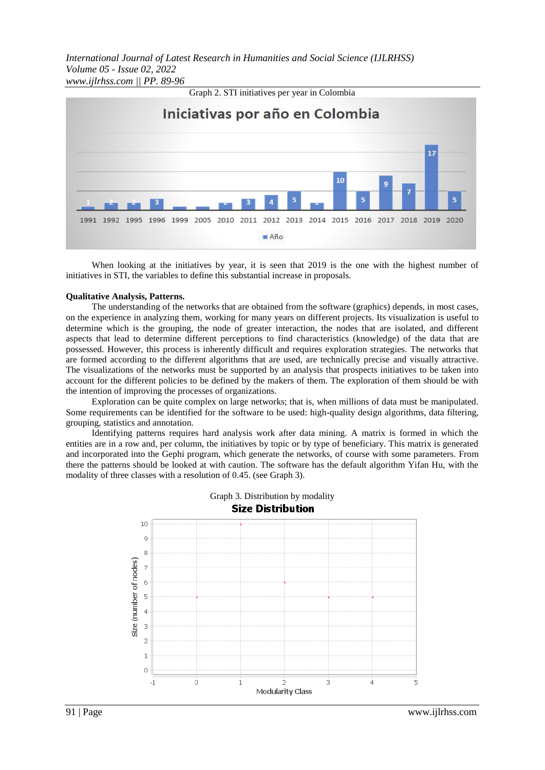*International Journal of Latest Research in Humanities and Social Science (IJLRHSS) Volume 05 - Issue 02, 2022 www.ijlrhss.com || PP. 89-96*



When looking at the initiatives by year, it is seen that 2019 is the one with the highest number of initiatives in STI, the variables to define this substantial increase in proposals.

#### **Qualitative Analysis, Patterns.**

The understanding of the networks that are obtained from the software (graphics) depends, in most cases, on the experience in analyzing them, working for many years on different projects. Its visualization is useful to determine which is the grouping, the node of greater interaction, the nodes that are isolated, and different aspects that lead to determine different perceptions to find characteristics (knowledge) of the data that are possessed. However, this process is inherently difficult and requires exploration strategies. The networks that are formed according to the different algorithms that are used, are technically precise and visually attractive. The visualizations of the networks must be supported by an analysis that prospects initiatives to be taken into account for the different policies to be defined by the makers of them. The exploration of them should be with the intention of improving the processes of organizations.

Exploration can be quite complex on large networks; that is, when millions of data must be manipulated. Some requirements can be identified for the software to be used: high-quality design algorithms, data filtering, grouping, statistics and annotation.

Identifying patterns requires hard analysis work after data mining. A matrix is formed in which the entities are in a row and, per column, the initiatives by topic or by type of beneficiary. This matrix is generated and incorporated into the Gephi program, which generate the networks, of course with some parameters. From there the patterns should be looked at with caution. The software has the default algorithm Yifan Hu, with the modality of three classes with a resolution of 0.45. (see Graph 3).



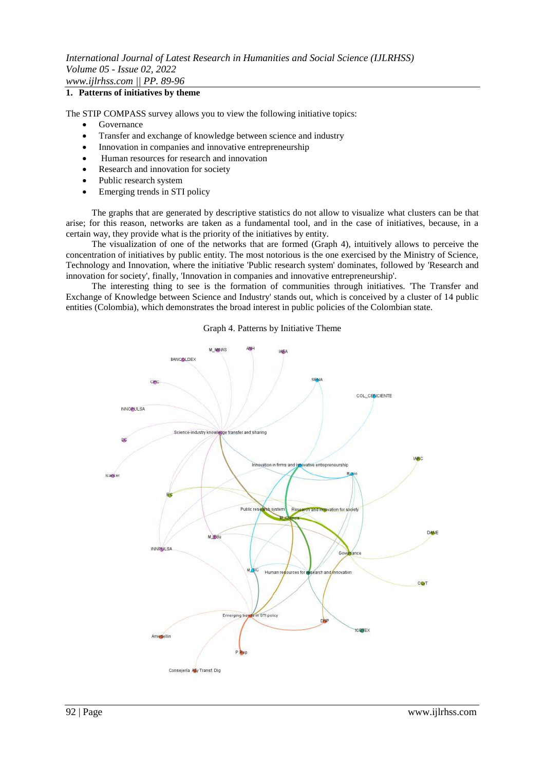### **1. Patterns of initiatives by theme**

The STIP COMPASS survey allows you to view the following initiative topics:

- Governance
- Transfer and exchange of knowledge between science and industry
- Innovation in companies and innovative entrepreneurship
- Human resources for research and innovation
- Research and innovation for society
- Public research system
- Emerging trends in STI policy

The graphs that are generated by descriptive statistics do not allow to visualize what clusters can be that arise; for this reason, networks are taken as a fundamental tool, and in the case of initiatives, because, in a certain way, they provide what is the priority of the initiatives by entity.

The visualization of one of the networks that are formed (Graph 4), intuitively allows to perceive the concentration of initiatives by public entity. The most notorious is the one exercised by the Ministry of Science, Technology and Innovation, where the initiative 'Public research system' dominates, followed by 'Research and innovation for society', finally, 'Innovation in companies and innovative entrepreneurship'.

The interesting thing to see is the formation of communities through initiatives. 'The Transfer and Exchange of Knowledge between Science and Industry' stands out, which is conceived by a cluster of 14 public entities (Colombia), which demonstrates the broad interest in public policies of the Colombian state.

Graph 4. Patterns by Initiative Theme

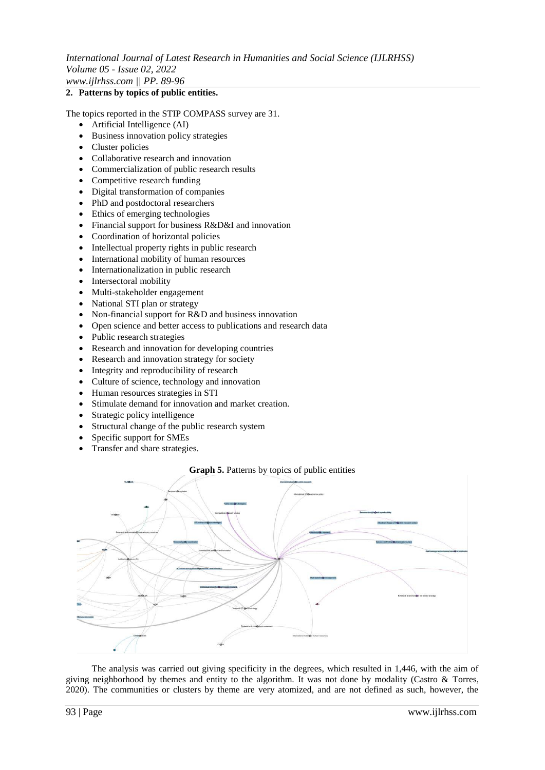### **2. Patterns by topics of public entities.**

The topics reported in the STIP COMPASS survey are 31.

- Artificial Intelligence (AI)
- Business innovation policy strategies
- Cluster policies
- Collaborative research and innovation
- Commercialization of public research results
- Competitive research funding
- Digital transformation of companies
- PhD and postdoctoral researchers
- Ethics of emerging technologies
- Financial support for business R&D&I and innovation
- Coordination of horizontal policies
- Intellectual property rights in public research
- International mobility of human resources
- Internationalization in public research
- Intersectoral mobility
- Multi-stakeholder engagement
- National STI plan or strategy
- Non-financial support for R&D and business innovation
- Open science and better access to publications and research data
- Public research strategies
- Research and innovation for developing countries
- Research and innovation strategy for society
- Integrity and reproducibility of research
- Culture of science, technology and innovation
- Human resources strategies in STI
- Stimulate demand for innovation and market creation.
- Strategic policy intelligence
- Structural change of the public research system
- Specific support for SMEs
- Transfer and share strategies.

## **Graph 5.** Patterns by topics of public entities



The analysis was carried out giving specificity in the degrees, which resulted in 1,446, with the aim of giving neighborhood by themes and entity to the algorithm. It was not done by modality (Castro & Torres, 2020). The communities or clusters by theme are very atomized, and are not defined as such, however, the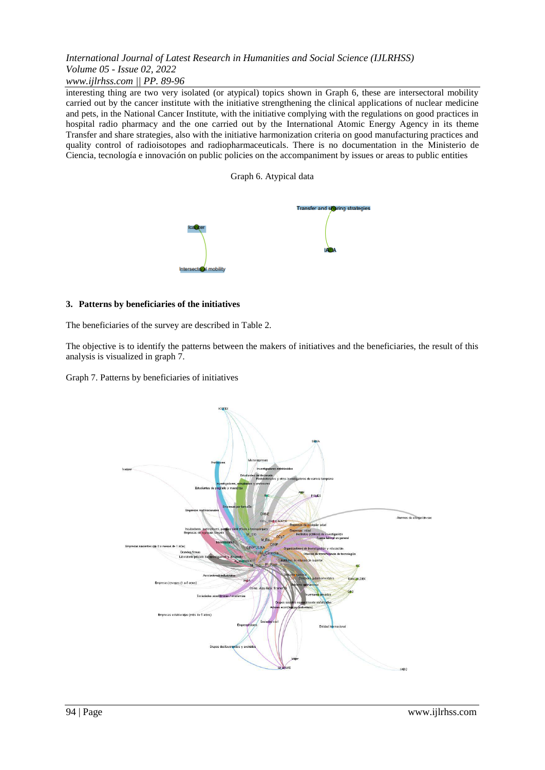## *www.ijlrhss.com || PP. 89-96*

interesting thing are two very isolated (or atypical) topics shown in Graph 6, these are intersectoral mobility carried out by the cancer institute with the initiative strengthening the clinical applications of nuclear medicine and pets, in the National Cancer Institute, with the initiative complying with the regulations on good practices in hospital radio pharmacy and the one carried out by the International Atomic Energy Agency in its theme Transfer and share strategies, also with the initiative harmonization criteria on good manufacturing practices and quality control of radioisotopes and radiopharmaceuticals. There is no documentation in the Ministerio de Ciencia, tecnología e innovación on public policies on the accompaniment by issues or areas to public entities

### Graph 6. Atypical data



### **3. Patterns by beneficiaries of the initiatives**

The beneficiaries of the survey are described in Table 2.

The objective is to identify the patterns between the makers of initiatives and the beneficiaries, the result of this analysis is visualized in graph 7.

Graph 7. Patterns by beneficiaries of initiatives

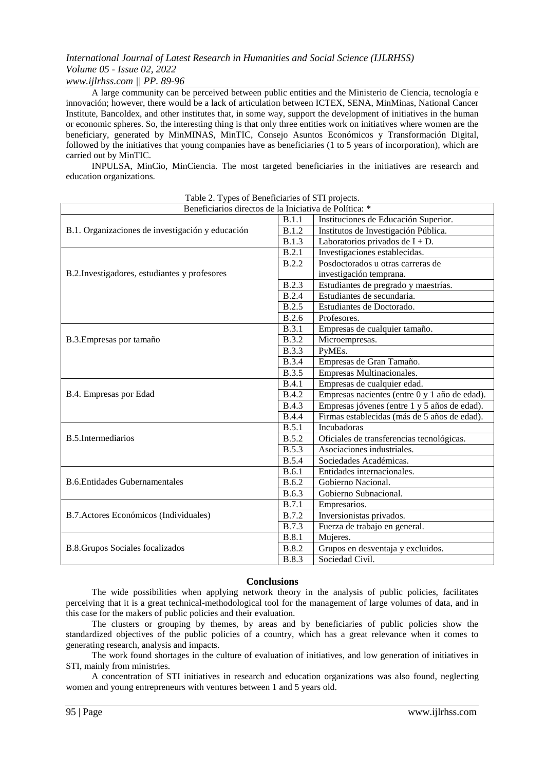## *www.ijlrhss.com || PP. 89-96*

A large community can be perceived between public entities and the Ministerio de Ciencia, tecnología e innovación; however, there would be a lack of articulation between ICTEX, SENA, MinMinas, National Cancer Institute, Bancoldex, and other institutes that, in some way, support the development of initiatives in the human or economic spheres. So, the interesting thing is that only three entities work on initiatives where women are the beneficiary, generated by MinMINAS, MinTIC, Consejo Asuntos Económicos y Transformación Digital, followed by the initiatives that young companies have as beneficiaries (1 to 5 years of incorporation), which are carried out by MinTIC.

INPULSA, MinCio, MinCiencia. The most targeted beneficiaries in the initiatives are research and education organizations.

| Beneficiarios directos de la Iniciativa de Política: * |                       |                                               |  |  |
|--------------------------------------------------------|-----------------------|-----------------------------------------------|--|--|
| B.1. Organizaciones de investigación y educación       |                       | Instituciones de Educación Superior.          |  |  |
|                                                        |                       | Institutos de Investigación Pública.          |  |  |
|                                                        |                       | Laboratorios privados de $I + D$ .            |  |  |
| B.2. Investigadores, estudiantes y profesores          |                       | Investigaciones establecidas.                 |  |  |
|                                                        |                       | Posdoctorados u otras carreras de             |  |  |
|                                                        |                       | investigación temprana.                       |  |  |
|                                                        |                       | Estudiantes de pregrado y maestrías.          |  |  |
|                                                        | <b>B.2.4</b>          | Estudiantes de secundaria.                    |  |  |
|                                                        | <b>B.2.5</b>          | Estudiantes de Doctorado.                     |  |  |
|                                                        | <b>B.2.6</b>          | Profesores.                                   |  |  |
| B.3. Empresas por tamaño                               |                       | Empresas de cualquier tamaño.                 |  |  |
|                                                        |                       | Microempresas.                                |  |  |
|                                                        | <b>B.3.3</b>          | PyMEs.                                        |  |  |
|                                                        | <b>B.3.4</b>          | Empresas de Gran Tamaño.                      |  |  |
|                                                        | <b>B.3.5</b>          | Empresas Multinacionales.                     |  |  |
| B.4. Empresas por Edad                                 |                       | Empresas de cualquier edad.                   |  |  |
|                                                        |                       | Empresas nacientes (entre 0 y 1 año de edad). |  |  |
|                                                        |                       | Empresas jóvenes (entre 1 y 5 años de edad).  |  |  |
|                                                        | <b>B.4.4</b><br>B.5.1 | Firmas establecidas (más de 5 años de edad).  |  |  |
| B.5.Intermediarios                                     |                       | Incubadoras                                   |  |  |
|                                                        |                       | Oficiales de transferencias tecnológicas.     |  |  |
|                                                        |                       | Asociaciones industriales.                    |  |  |
|                                                        | <b>B.5.4</b><br>B.6.1 | Sociedades Académicas.                        |  |  |
| <b>B.6.Entidades Gubernamentales</b>                   |                       | Entidades internacionales.                    |  |  |
|                                                        |                       | Gobierno Nacional.                            |  |  |
|                                                        |                       | Gobierno Subnacional.                         |  |  |
| B.7. Actores Económicos (Individuales)                 |                       | Empresarios.                                  |  |  |
|                                                        |                       | Inversionistas privados.                      |  |  |
|                                                        |                       | Fuerza de trabajo en general.                 |  |  |
| <b>B.8.Grupos Sociales focalizados</b>                 |                       | Mujeres.                                      |  |  |
|                                                        |                       | Grupos en desventaja y excluidos.             |  |  |
|                                                        |                       | Sociedad Civil.                               |  |  |

Table 2. Types of Beneficiaries of STI projects.

### **Conclusions**

The wide possibilities when applying network theory in the analysis of public policies, facilitates perceiving that it is a great technical-methodological tool for the management of large volumes of data, and in this case for the makers of public policies and their evaluation.

The clusters or grouping by themes, by areas and by beneficiaries of public policies show the standardized objectives of the public policies of a country, which has a great relevance when it comes to generating research, analysis and impacts.

The work found shortages in the culture of evaluation of initiatives, and low generation of initiatives in STI, mainly from ministries.

A concentration of STI initiatives in research and education organizations was also found, neglecting women and young entrepreneurs with ventures between 1 and 5 years old.